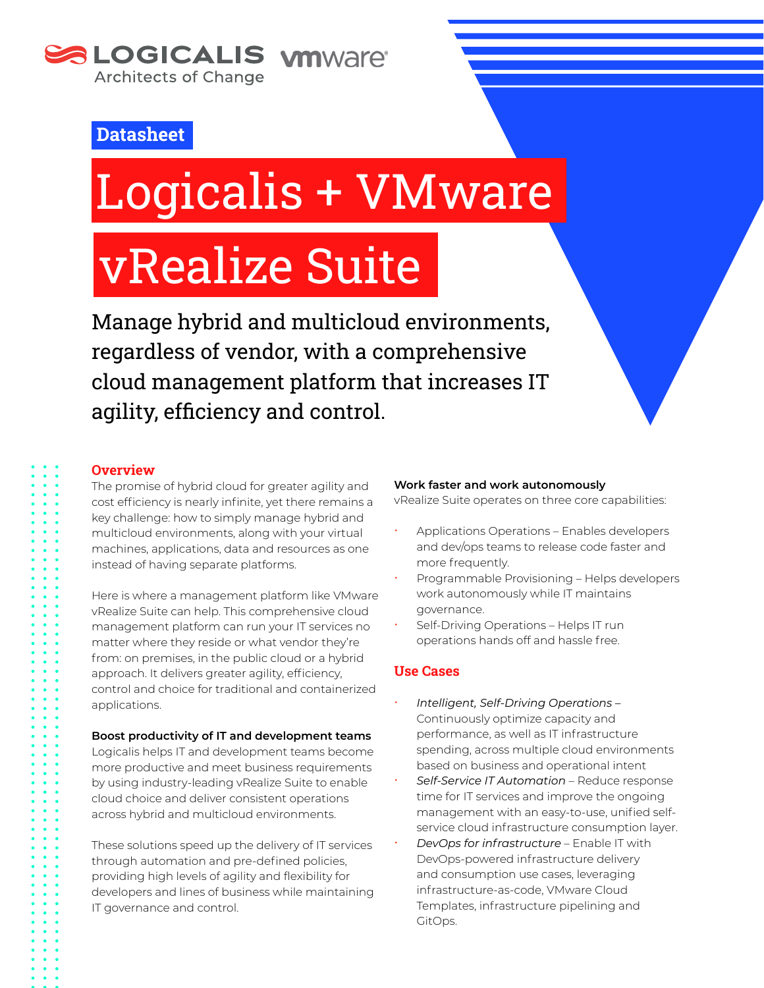

### **Datasheet**

# Logicalis + VMware

## vRealize Suite

Manage hybrid and multicloud environments, regardless of vendor, with a comprehensive cloud management platform that increases IT agility, efficiency and control.

#### **Overview**

The promise of hybrid cloud for greater agility and cost efficiency is nearly infinite, yet there remains a key challenge: how to simply manage hybrid and multicloud environments, along with your virtual machines, applications, data and resources as one instead of having separate platforms.

Here is where a management platform like VMware vRealize Suite can help. This comprehensive cloud management platform can run your IT services no matter where they reside or what vendor they're from: on premises, in the public cloud or a hybrid approach. It delivers greater agility, efficiency, control and choice for traditional and containerized applications.

#### **Boost productivity of IT and development teams**

Logicalis helps IT and development teams become more productive and meet business requirements by using industry-leading vRealize Suite to enable cloud choice and deliver consistent operations across hybrid and multicloud environments.

These solutions speed up the delivery of IT services through automation and pre-defined policies, providing high levels of agility and flexibility for developers and lines of business while maintaining IT governance and control.

#### **Work faster and work autonomously**

vRealize Suite operates on three core capabilities:

- x Applications Operations Enables developers and dev/ops teams to release code faster and more frequently.
- x Programmable Provisioning Helps developers work autonomously while IT maintains governance.
- Self-Driving Operations Helps IT run operations hands off and hassle free.

#### **Use Cases**

- x *Intelligent, Self-Driving Operations –* Continuously optimize capacity and performance, as well as IT infrastructure spending, across multiple cloud environments based on business and operational intent
- x *Self-Service IT Automation* Reduce response time for IT services and improve the ongoing management with an easy-to-use, unified selfservice cloud infrastructure consumption layer.
- x *DevOps for infrastructure* Enable IT with DevOps-powered infrastructure delivery and consumption use cases, leveraging infrastructure-as-code, VMware Cloud Templates, infrastructure pipelining and GitOps.